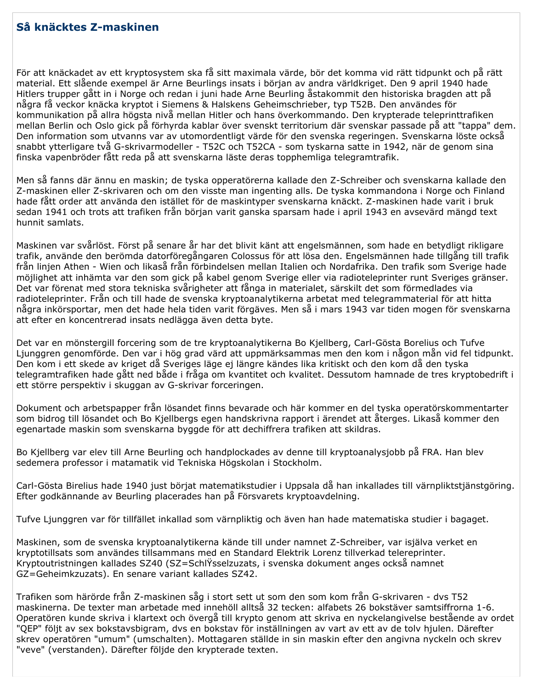## Så knäcktes Z-maskinen

För att knäckadet av ett kryptosystem ska få sitt maximala värde, bör det komma vid rätt tidpunkt och på rätt material. Ett slående exempel är Arne Beurlings insats i början av andra världkriget. Den 9 april 1940 hade Hitlers trupper gått in i Norge och redan i juni hade Arne Beurling åstakommit den historiska bragden att på några få veckor knäcka kryptot i Siemens & Halskens Geheimschrieber, typ T52B. Den användes för kommunikation på allra högsta nivå mellan Hitler och hans överkommando. Den krypterade teleprinttrafiken mellan Berlin och Oslo gick på förhyrda kablar över svenskt territorium där svenskar passade på att "tappa" dem. Den information som utvanns var av utomordentligt värde för den svenska regeringen. Svenskarna löste också snabbt ytterligare två G-skrivarmodeller - T52C och T52CA - som tyskarna satte in 1942, när de genom sina finska vapenbröder fått reda på att svenskarna läste deras topphemliga telegramtrafik.

Men så fanns där ännu en maskin; de tyska opperatörerna kallade den Z-Schreiber och svenskarna kallade den Z-maskinen eller Z-skrivaren och om den visste man ingenting alls. De tyska kommandona i Norge och Finland hade fått order att använda den istället för de maskintyper svenskarna knäckt. Z-maskinen hade varit i bruk sedan 1941 och trots att trafiken från början varit ganska sparsam hade i april 1943 en avsevärd mängd text hunnit samlats.

Maskinen var svårlöst. Först på senare år har det blivit känt att engelsmännen, som hade en betydligt rikligare trafik, använde den berömda datorföregångaren Colossus för att lösa den. Engelsmännen hade tillgång till trafik från linjen Athen - Wien och likaså från förbindelsen mellan Italien och Nordafrika. Den trafik som Sverige hade möjlighet att inhämta var den som gick på kabel genom Sverige eller via radioteleprinter runt Sveriges gränser. Det var förenat med stora tekniska svårigheter att fånga in materialet, särskilt det som förmedlades via radioteleprinter. Från och till hade de svenska kryptoanalytikerna arbetat med telegrammaterial för att hitta några inkörsportar, men det hade hela tiden varit förgäves. Men så i mars 1943 var tiden mogen för svenskarna att efter en koncentrerad insats nedlägga även detta byte.

Det var en mönstergill forcering som de tre kryptoanalytikerna Bo Kjellberg, Carl-Gösta Borelius och Tufve Ljunggren genomförde. Den var i hög grad värd att uppmärksammas men den kom i någon mån vid fel tidpunkt. Den kom i ett skede av kriget då Sveriges läge ej längre kändes lika kritiskt och den kom då den tyska telegramtrafiken hade gått ned både i fråga om kvantitet och kvalitet. Dessutom hamnade de tres kryptobedrift i ett större perspektiv i skuggan av G-skrivar forceringen.

Dokument och arbetspapper från lösandet finns bevarade och här kommer en del tyska operatörskommentarter som bidrog till lösandet och Bo Kjellbergs egen handskrivna rapport i ärendet att återges. Likaså kommer den egenartade maskin som svenskarna byggde för att dechiffrera trafiken att skildras.

Bo Kjellberg var elev till Arne Beurling och handplockades av denne till kryptoanalysjobb på FRA. Han blev sedemera professor i matamatik vid Tekniska Högskolan i Stockholm.

Carl-Gösta Birelius hade 1940 just börjat matematikstudier i Uppsala då han inkallades till värnpliktstjänstgöring. Efter godkännande av Beurling placerades han på Försvarets kryptoavdelning.

Tufve Ljunggren var för tillfället inkallad som värnpliktig och även han hade matematiska studier i bagaget.

Maskinen, som de svenska kryptoanalytikerna kände till under namnet Z-Schreiber, var isjälva verket en kryptotillsats som användes tillsammans med en Standard Elektrik Lorenz tillverkad telereprinter. Kryptoutristningen kallades SZ40 (SZ=SchlŸsselzuzats, i svenska dokument anges också namnet GZ=Geheimkzuzats). En senare variant kallades SZ42.

Trafiken som härörde från Z-maskinen såg i stort sett ut som den som kom från G-skrivaren - dvs T52 maskinerna. De texter man arbetade med innehöll alltså 32 tecken: alfabets 26 bokstäver samtsiffrorna 1-6. Operatören kunde skriva i klartext och övergå till krypto genom att skriva en nyckelangivelse bestående av ordet "OEP" följt av sex bokstavsbigram, dvs en bokstav för inställningen av vart av ett av de tolv hjulen. Därefter skrev operatören "umum" (umschalten). Mottagaren ställde in sin maskin efter den angivna nyckeln och skrev "veve" (verstanden). Därefter följde den krypterade texten.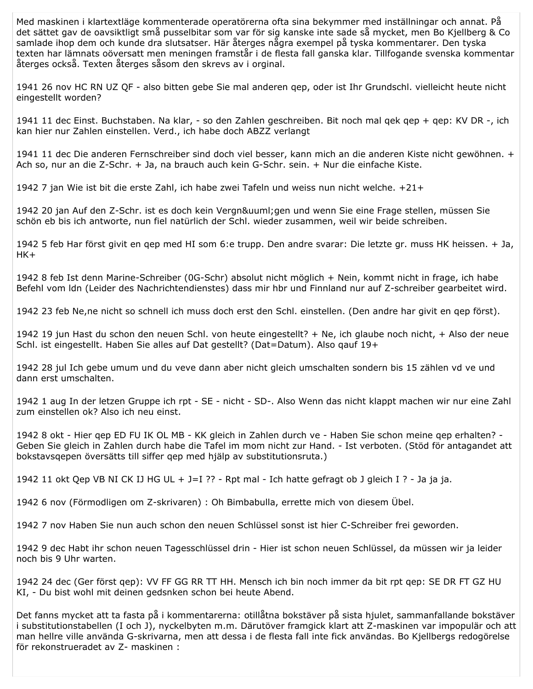Med maskinen i klartextläge kommenterade operatörerna ofta sina bekymmer med inställningar och annat. På det sättet gav de oavsiktligt små pusselbitar som var för sig kanske inte sade så mycket, men Bo Kjellberg & Co samlade ihop dem och kunde dra slutsatser. Här återges några exempel på tyska kommentarer. Den tyska texten har lämnats oöversatt men meningen framstår i de flesta fall ganska klar. Tillfogande svenska kommentar återges också. Texten återges såsom den skrevs av i orginal.

1941 26 nov HC RN UZ OF - also bitten gebe Sie mal anderen gep, oder ist Ihr Grundschl. vielleicht heute nicht eingestellt worden?

1941 11 dec Einst. Buchstaben. Na klar, - so den Zahlen geschreiben. Bit noch mal gek gep + gep: KV DR -, ich kan hier nur Zahlen einstellen. Verd., ich habe doch ABZZ verlangt

1941 11 dec Die anderen Fernschreiber sind doch viel besser, kann mich an die anderen Kiste nicht gewöhnen. + Ach so, nur an die Z-Schr. + Ja, na brauch auch kein G-Schr. sein. + Nur die einfache Kiste.

1942 7 jan Wie ist bit die erste Zahl, ich habe zwei Tafeln und weiss nun nicht welche. +21+

1942 20 jan Auf den Z-Schr. ist es doch kein Vergnü gen und wenn Sie eine Frage stellen, müssen Sie schön eb bis ich antworte, nun fiel natürlich der Schl. wieder zusammen, weil wir beide schreiben.

1942 5 feb Har först givit en gep med HI som 6:e trupp. Den andre svarar: Die letzte gr. muss HK heissen. + Ja,  $HK+$ 

1942 8 feb Ist denn Marine-Schreiber (0G-Schr) absolut nicht möglich + Nein, kommt nicht in frage, ich habe Befehl vom Idn (Leider des Nachrichtendienstes) dass mir hbr und Finnland nur auf Z-schreiber gearbeitet wird.

1942 23 feb Ne, ne nicht so schnell ich muss doch erst den Schl. einstellen. (Den andre har givit en gep först).

1942 19 jun Hast du schon den neuen Schl. von heute eingestellt? + Ne, ich glaube noch nicht, + Also der neue Schl. ist eingestellt. Haben Sie alles auf Dat gestellt? (Dat=Datum). Also gauf 19+

1942 28 jul Ich gebe umum und du veve dann aber nicht gleich umschalten sondern bis 15 zählen vd ve und dann erst umschalten.

1942 1 aug In der letzen Gruppe ich rpt - SE - nicht - SD-. Also Wenn das nicht klappt machen wir nur eine Zahl zum einstellen ok? Also ich neu einst.

1942 8 okt - Hier gep ED FU IK OL MB - KK gleich in Zahlen durch ve - Haben Sie schon meine gep erhalten? -Geben Sie gleich in Zahlen durch habe die Tafel im mom nicht zur Hand. - Ist verboten. (Stöd för antagandet att bokstavsgepen översätts till siffer gep med hjälp av substitutionsruta.)

1942 11 okt Qep VB NI CK IJ HG UL + J=I ?? - Rpt mal - Ich hatte gefragt ob J gleich I ? - Ja ja ja.

1942 6 nov (Förmodligen om Z-skrivaren) : Oh Bimbabulla, errette mich von diesem Übel.

1942 7 nov Haben Sie nun auch schon den neuen Schlüssel sonst ist hier C-Schreiber frei geworden.

1942 9 dec Habt ihr schon neuen Tagesschlüssel drin - Hier ist schon neuen Schlüssel, da müssen wir ja leider noch bis 9 Uhr warten.

1942 24 dec (Ger först gep): VV FF GG RR TT HH. Mensch ich bin noch immer da bit rpt gep: SE DR FT GZ HU KI, - Du bist wohl mit deinen gedsnken schon bei heute Abend.

Det fanns mycket att ta fasta på i kommentarerna: otillåtna bokstäver på sista hjulet, sammanfallande bokstäver i substitutionstabellen (I och J), nyckelbyten m.m. Därutöver framgick klart att Z-maskinen var impopulär och att man hellre ville använda G-skrivarna, men att dessa i de flesta fall inte fick användas. Bo Kjellbergs redogörelse för rekonstrueradet av Z- maskinen :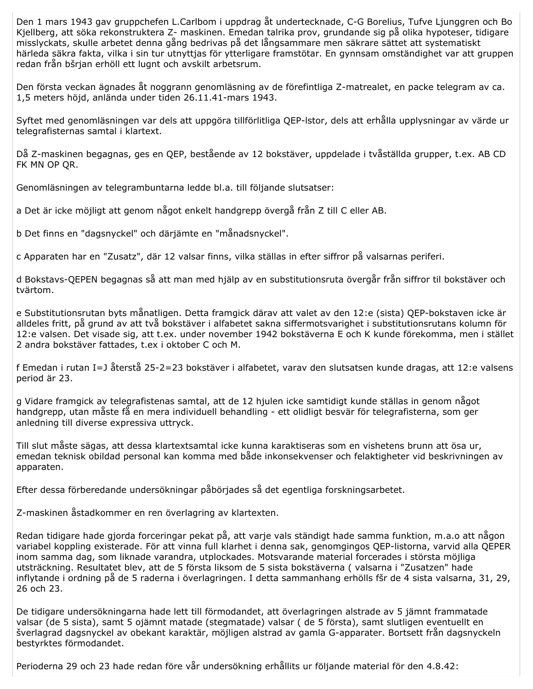Den 1 mars 1943 gav gruppchefen L.Carlbom i uppdrag åt undertecknade, C-G Borelius, Tufve Ljunggren och Bo Kjellberg, att söka rekonstruktera Z- maskinen. Emedan talrika prov, grundande sig på olika hypoteser, tidigare misslyckats, skulle arbetet denna gång bedrivas på det långsammare men säkrare sättet att systematiskt härleda säkra fakta, vilka i sin tur utnyttjas för ytterligare framstötar. En gynnsam omständighet var att gruppen redan från bšrjan erhöll ett lugnt och avskilt arbetsrum.

Den första veckan ägnades åt noggrann genomläsning av de förefintliga Z-matrealet, en packe telegram av ca. 1,5 meters höjd, anlända under tiden 26.11.41-mars 1943.

Syftet med genomläsningen var dels att uppgöra tillförlitliga QEP-Istor, dels att erhålla upplysningar av värde ur telegrafisternas samtal i klartext.

Då Z-maskinen begagnas, ges en QEP, bestående av 12 bokstäver, uppdelade i tvåställda grupper, t.ex. AB CD FK MN OP QR.

Genomläsningen av telegrambuntarna ledde bl.a. till följande slutsatser:

a Det är icke möjligt att genom något enkelt handgrepp övergå från Z till C eller AB.

b Det finns en "dagsnyckel" och därjämte en "månadsnyckel".

c Apparaten har en "Zusatz", där 12 valsar finns, vilka ställas in efter siffror på valsarnas periferi.

d Bokstavs-QEPEN begagnas så att man med hjälp av en substitutionsruta övergår från siffror til bokstäver och tvärtom.

e Substitutionsrutan byts månatligen. Detta framgick därav att valet av den 12:e (sista) QEP-bokstaven icke är alldeles fritt, på grund av att två bokstäver i alfabetet sakna siffermotsvarighet i substitutionsrutans kolumn för 12:e valsen. Det visade sig, att t.ex. under november 1942 bokstäverna E och K kunde förekomma, men i stället 2 andra bokstäver fattades, t.ex i oktober C och M.

f Emedan i rutan I=J återstå 25-2=23 bokstäver i alfabetet, varav den slutsatsen kunde dragas, att 12:e valsens period är 23.

g Vidare framgick av telegrafistenas samtal, att de 12 hjulen icke samtidigt kunde ställas in genom något handgrepp, utan måste få en mera individuell behandling - ett olidligt besvär för telegrafisterna, som ger anledning till diverse expressiva uttryck.

Till slut måste sägas, att dessa klartextsamtal icke kunna karaktiseras som en vishetens brunn att ösa ur, emedan teknisk obildad personal kan komma med både inkonsekvenser och felaktigheter vid beskrivningen av apparaten.

Efter dessa förberedande undersökningar påbörjades så det egentliga forskningsarbetet.

Z-maskinen åstadkommer en ren överlagring av klartexten.

Redan tidigare hade gjorda forceringar pekat på, att varje vals ständigt hade samma funktion, m.a.o att någon variabel koppling existerade. För att vinna full klarhet i denna sak, genomgingos QEP-listorna, varvid alla QEPER inom samma dag, som liknade varandra, utplockades. Motsvarande material forcerades i största möjliga utsträckning. Resultatet blev, att de 5 första liksom de 5 sista bokstäverna (valsarna i "Zusatzen" hade inflytande i ordning på de 5 raderna i överlagringen. I detta sammanhang erhölls fšr de 4 sista valsarna, 31, 29, 26 och 23.

De tidigare undersökningarna hade lett till förmodandet, att överlagringen alstrade av 5 jämnt frammatade valsar (de 5 sista), samt 5 ojämnt matade (stegmatade) valsar (de 5 första), samt slutligen eventuellt en šverlagrad dagsnyckel av obekant karaktär, möjligen alstrad av gamla G-apparater. Bortsett från dagsnyckeln bestyrktes förmodandet.

Perioderna 29 och 23 hade redan före vår undersökning erhållits ur följande material för den 4.8.42: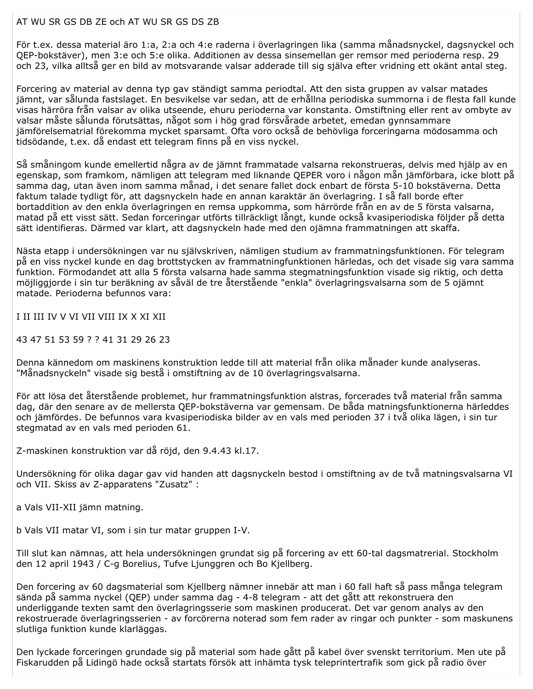## AT WU SR GS DB ZE och AT WU SR GS DS ZB

För t.ex. dessa material äro 1:a, 2:a och 4:e raderna i överlagringen lika (samma månadsnyckel, dagsnyckel och QEP-bokstäver), men 3:e och 5:e olika. Additionen av dessa sinsemellan ger remsor med perioderna resp. 29 och 23, vilka alltså ger en bild av motsvarande valsar adderade till sig själva efter vridning ett okänt antal steg.

Forcering av material av denna typ gav ständigt samma periodtal. Att den sista gruppen av valsar matades jämnt, var sålunda fastslaget. En besvikelse var sedan, att de erhållna periodiska summorna i de flesta fall kunde visas härröra från valsar av olika utseende, ehuru perioderna var konstanta. Omstiftning eller rent av ombyte av valsar måste sålunda förutsättas, något som i hög grad försvårade arbetet, emedan gynnsammare jämförelsematrial förekomma mycket sparsamt. Ofta voro också de behövliga forceringarna mödosamma och tidsödande, t.ex. då endast ett telegram finns på en viss nyckel.

Så småningom kunde emellertid några av de jämnt frammatade valsarna rekonstrueras, delvis med hjälp av en egenskap, som framkom, nämligen att telegram med liknande QEPER voro i någon mån jämförbara, icke blott på samma dag, utan även inom samma månad, i det senare fallet dock enbart de första 5-10 bokstäverna. Detta faktum talade tydligt för, att dagsnyckeln hade en annan karaktär än överlagring. I så fall borde efter bortaddition av den enkla överlagringen en remsa uppkomma, som härrörde från en av de 5 första valsarna, matad på ett visst sätt. Sedan forceringar utförts tillräckligt långt, kunde också kvasiperiodiska följder på detta sätt identifieras. Därmed var klart, att dagsnyckeln hade med den ojämna frammatningen att skaffa.

Nästa etapp i undersökningen var nu självskriven, nämligen studium av frammatningsfunktionen. För telegram på en viss nyckel kunde en dag brottstycken av frammatningfunktionen härledas, och det visade sig vara samma funktion. Förmodandet att alla 5 första valsarna hade samma stegmatningsfunktion visade sig riktig, och detta möjliggjorde i sin tur beräkning av såväl de tre återstående "enkla" överlagringsvalsarna som de 5 ojämnt matade. Perioderna befunnos vara:

I II III IV V VI VII VIII IX X XI XII

43 47 51 53 59 ? ? 41 31 29 26 23

Denna kännedom om maskinens konstruktion ledde till att material från olika månader kunde analyseras. "Månadsnyckeln" visade sig bestå i omstiftning av de 10 överlagringsvalsarna.

För att lösa det återstående problemet, hur frammatningsfunktion alstras, forcerades två material från samma dag, där den senare av de mellersta QEP-bokstäverna var gemensam. De båda matningsfunktionerna härleddes och jämfördes. De befunnos vara kvasiperiodiska bilder av en vals med perioden 37 i två olika lägen, i sin tur stegmatad av en vals med perioden 61.

Z-maskinen konstruktion var då röjd, den 9.4.43 kl.17.

Undersökning för olika dagar gav vid handen att dagsnyckeln bestod i omstiftning av de två matningsvalsarna VI och VII. Skiss av Z-apparatens "Zusatz" :

a Vals VII-XII jämn matning.

b Vals VII matar VI, som i sin tur matar gruppen I-V.

Till slut kan nämnas, att hela undersökningen grundat sig på forcering av ett 60-tal dagsmatrerial. Stockholm den 12 april 1943 / C-g Borelius, Tufve Ljunggren och Bo Kjellberg.

Den forcering av 60 dagsmaterial som Kjellberg nämner innebär att man i 60 fall haft så pass många telegram sända på samma nyckel (QEP) under samma dag - 4-8 telegram - att det gått att rekonstruera den underliggande texten samt den överlagringsserie som maskinen producerat. Det var genom analys av den rekostruerade överlagringsserien - av forcörerna noterad som fem rader av ringar och punkter - som maskunens slutliga funktion kunde klarläggas.

Den lyckade forceringen grundade sig på material som hade gått på kabel över svenskt territorium. Men ute på Fiskarudden på Lidingö hade också startats försök att inhämta tysk teleprintertrafik som gick på radio över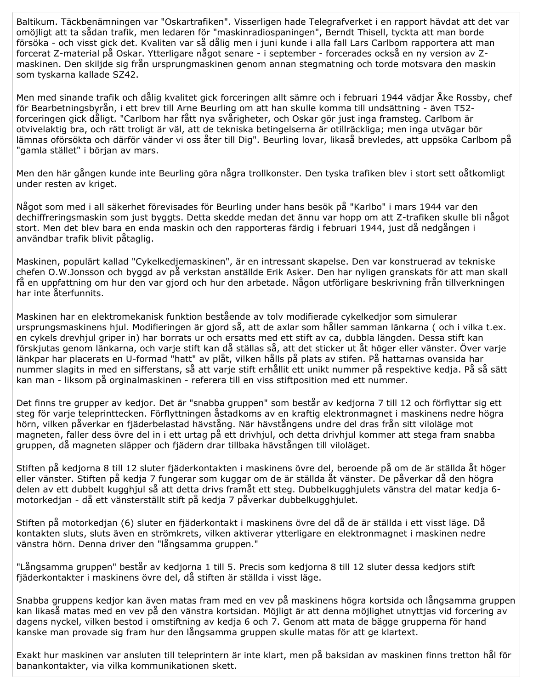Baltikum. Täckbenämningen var "Oskartrafiken". Visserligen hade Telegrafverket i en rapport hävdat att det var omöjligt att ta sådan trafik, men ledaren för "maskinradiospaningen", Berndt Thisell, tyckta att man borde försöka - och visst gick det. Kvaliten var så dålig men i juni kunde i alla fall Lars Carlbom rapportera att man forcerat Z-material på Oskar. Ytterligare något senare - i september - forcerades också en ny version av Zmaskinen. Den skiljde sig från ursprungmaskinen genom annan stegmatning och torde motsvara den maskin som tyskarna kallade SZ42.

Men med sinande trafik och dålig kvalitet gick forceringen allt sämre och i februari 1944 vädjar Åke Rossby, chef för Bearbetningsbyrån, i ett brev till Arne Beurling om att han skulle komma till undsättning - även T52forceringen gick dåligt. "Carlbom har fått nya svårigheter, och Oskar gör just inga framsteg. Carlbom är otvivelaktig bra, och rätt troligt är väl, att de tekniska betingelserna är otillräckliga; men inga utvägar bör lämnas oförsökta och därför vänder vi oss åter till Dig". Beurling lovar, likaså brevledes, att uppsöka Carlbom på "gamla stället" i början av mars.

Men den här gången kunde inte Beurling göra några trollkonster. Den tyska trafiken blev i stort sett oåtkomligt under resten av kriget.

Något som med i all säkerhet förevisades för Beurling under hans besök på "Karlbo" i mars 1944 var den dechiffreringsmaskin som just byggts. Detta skedde medan det ännu var hopp om att Z-trafiken skulle bli något stort. Men det blev bara en enda maskin och den rapporteras färdig i februari 1944, just då nedgången i användbar trafik blivit påtaglig.

Maskinen, populärt kallad "Cykelkedjemaskinen", är en intressant skapelse. Den var konstruerad av tekniske chefen O.W.Jonsson och byggd av på verkstan anställde Erik Asker. Den har nyligen granskats för att man skall få en uppfattning om hur den var gjord och hur den arbetade. Någon utförligare beskrivning från tillverkningen har inte återfunnits.

Maskinen har en elektromekanisk funktion bestående av tolv modifierade cykelkedjor som simulerar ursprungsmaskinens hjul. Modifieringen är gjord så, att de axlar som håller samman länkarna (och i vilka t.ex. en cykels drevhjul griper in) har borrats ur och ersatts med ett stift av ca, dubbla längden. Dessa stift kan förskjutas genom länkarna, och varje stift kan då ställas så, att det sticker ut åt höger eller vänster. Över varje länkpar har placerats en U-formad "hatt" av plåt, vilken hålls på plats av stifen. På hattarnas ovansida har nummer slagits in med en sifferstans, så att varje stift erhållit ett unikt nummer på respektive kedja. På så sätt kan man - liksom på orginalmaskinen - referera till en viss stiftposition med ett nummer.

Det finns tre grupper av kedjor. Det är "snabba gruppen" som består av kedjorna 7 till 12 och förflyttar sig ett steg för varie teleprinttecken. Förflyttningen åstadkoms av en kraftig elektronmagnet i maskinens nedre högra hörn, vilken påverkar en fjäderbelastad hävstång. När hävstångens undre del dras från sitt viloläge mot magneten, faller dess övre del in i ett urtag på ett drivhjul, och detta drivhjul kommer att stega fram snabba gruppen, då magneten släpper och fjädern drar tillbaka hävstången till viloläget.

Stiften på kedjorna 8 till 12 sluter fjäderkontakten i maskinens övre del, beroende på om de är ställda åt höger eller vänster. Stiften på kedja 7 fungerar som kuggar om de är ställda åt vänster. De påverkar då den högra delen av ett dubbelt kugghjul så att detta drivs framåt ett steg. Dubbelkugghjulets vänstra del matar kedja 6motorkedjan - då ett vänsterställt stift på kedja 7 påverkar dubbelkugghjulet.

Stiften på motorkedjan (6) sluter en fjäderkontakt i maskinens övre del då de är ställda i ett visst läge. Då kontakten sluts, sluts även en strömkrets, vilken aktiverar ytterligare en elektronmagnet i maskinen nedre vänstra hörn. Denna driver den "långsamma gruppen."

"Långsamma gruppen" består av kedjorna 1 till 5. Precis som kedjorna 8 till 12 sluter dessa kedjors stift fjäderkontakter i maskinens övre del, då stiften är ställda i visst läge.

Snabba gruppens kedjor kan även matas fram med en vev på maskinens högra kortsida och långsamma gruppen kan likaså matas med en vev på den vänstra kortsidan. Möjligt är att denna möjlighet utnyttjas vid forcering av dagens nyckel, vilken bestod i omstiftning av kedja 6 och 7. Genom att mata de bägge grupperna för hand kanske man provade sig fram hur den långsamma gruppen skulle matas för att ge klartext.

Exakt hur maskinen var ansluten till teleprintern är inte klart, men på baksidan av maskinen finns tretton hål för banankontakter, via vilka kommunikationen skett.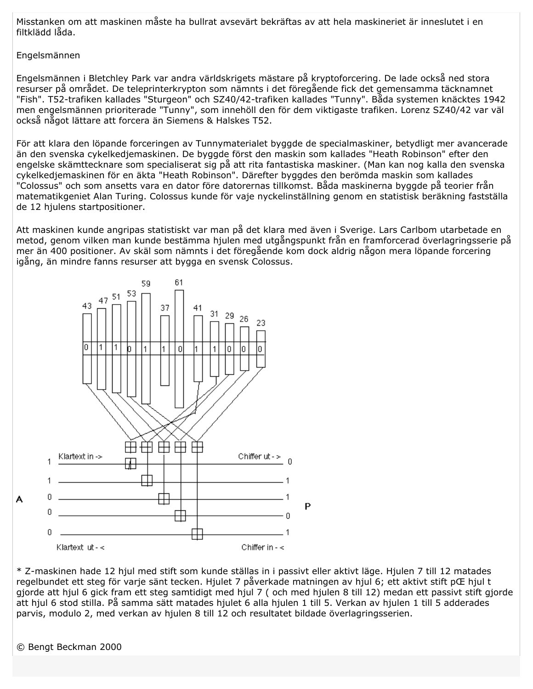Misstanken om att maskinen måste ha bullrat avsevärt bekräftas av att hela maskineriet är inneslutet i en filtklädd låda.

## Engelsmännen

Engelsmännen i Bletchley Park var andra världskrigets mästare på kryptoforcering. De lade också ned stora resurser på området. De teleprinterkrypton som nämnts i det föregående fick det gemensamma täcknamnet "Fish". T52-trafiken kallades "Sturgeon" och SZ40/42-trafiken kallades "Tunny". Båda systemen knäcktes 1942 men engelsmännen prioriterade "Tunny", som innehöll den för dem viktigaste trafiken. Lorenz SZ40/42 var väl också något lättare att forcera än Siemens & Halskes T52.

För att klara den löpande forceringen av Tunnymaterialet byggde de specialmaskiner, betydligt mer avancerade än den svenska cykelkedjemaskinen. De byggde först den maskin som kallades "Heath Robinson" efter den engelske skämttecknare som specialiserat sig på att rita fantastiska maskiner. (Man kan nog kalla den svenska cykelkedjemaskinen för en äkta "Heath Robinson". Därefter byggdes den berömda maskin som kallades "Colossus" och som ansetts vara en dator före datorernas tillkomst. Båda maskinerna byggde på teorier från matematikgeniet Alan Turing. Colossus kunde för vaje nyckelinställning genom en statistisk beräkning fastställa de 12 hiulens startpositioner.

Att maskinen kunde angripas statistiskt var man på det klara med även i Sverige. Lars Carlbom utarbetade en metod, genom vilken man kunde bestämma hjulen med utgångspunkt från en framforcerad överlagringsserie på mer än 400 positioner. Av skäl som nämnts i det föregående kom dock aldrig någon mera löpande forcering igång, än mindre fanns resurser att bygga en svensk Colossus.



\* Z-maskinen hade 12 hjul med stift som kunde ställas in i passivt eller aktivt läge. Hjulen 7 till 12 matades regelbundet ett steg för varje sänt tecken. Hjulet 7 påverkade matningen av hjul 6; ett aktivt stift pŒ hjul t gjorde att hjul 6 gick fram ett steg samtidigt med hjul 7 (och med hjulen 8 till 12) medan ett passivt stift gjorde att hjul 6 stod stilla. På samma sätt matades hjulet 6 alla hjulen 1 till 5. Verkan av hjulen 1 till 5 adderades parvis, modulo 2, med verkan av hjulen 8 till 12 och resultatet bildade överlagringsserien.